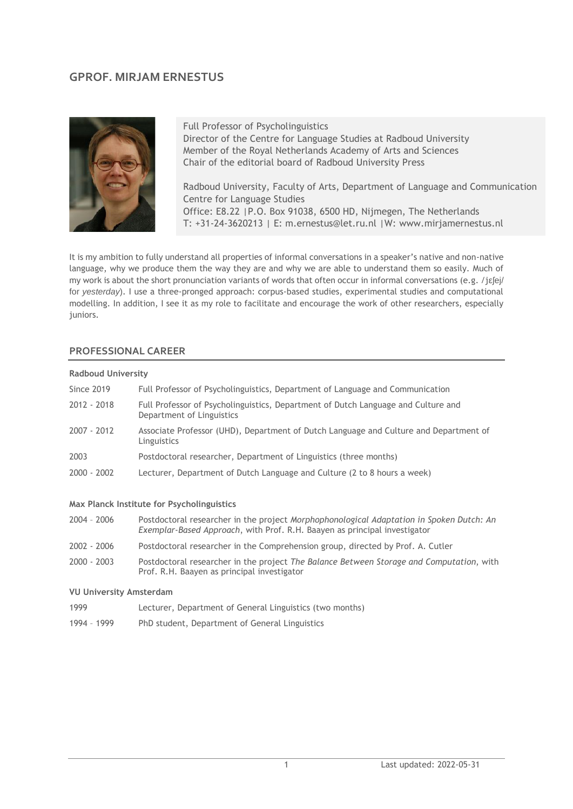# **GPROF. MIRJAM ERNESTUS**



Full Professor of Psycholinguistics Director of the Centre for Language Studies at Radboud University Member of the Royal Netherlands Academy of Arts and Sciences Chair of the editorial board of Radboud University Press

Radboud University, Faculty of Arts, Department of Language and Communication Centre for Language Studies Office: E8.22 |P.O. Box 91038, 6500 HD, Nijmegen, The Netherlands T: +31-24-3620213 | E: m.ernestus@let.ru.nl |W: www.mirjamernestus.nl

It is my ambition to fully understand all properties of informal conversations in a speaker's native and non-native language, why we produce them the way they are and why we are able to understand them so easily. Much of my work is about the short pronunciation variants of words that often occur in informal conversations (e.g. /jεʃej/ for *yesterday*). I use a three-pronged approach: corpus-based studies, experimental studies and computational modelling. In addition, I see it as my role to facilitate and encourage the work of other researchers, especially juniors.

#### **PROFESSIONAL CAREER**

# **Radboud University** Since 2019 Full Professor of Psycholinguistics, Department of Language and Communication 2012 - 2018 Full Professor of Psycholinguistics, Department of Dutch Language and Culture and Department of Linguistics 2007 - 2012 Associate Professor (UHD), Department of Dutch Language and Culture and Department of Linguistics 2003 Postdoctoral researcher, Department of Linguistics (three months) 2000 - 2002 Lecturer, Department of Dutch Language and Culture (2 to 8 hours a week)

#### **Max Planck Institute for Psycholinguistics**

| 2004 - 2006   | Postdoctoral researcher in the project Morphophonological Adaptation in Spoken Dutch: An<br>Exemplar-Based Approach, with Prof. R.H. Baayen as principal investigator |
|---------------|-----------------------------------------------------------------------------------------------------------------------------------------------------------------------|
| 2002 - 2006   | Postdoctoral researcher in the Comprehension group, directed by Prof. A. Cutler                                                                                       |
| $2000 - 2003$ | Postdoctoral researcher in the project The Balance Between Storage and Computation, with<br>Prof. R.H. Baayen as principal investigator                               |

#### **VU University Amsterdam**

- 1999 Lecturer, Department of General Linguistics (two months)
- 1994 1999 PhD student, Department of General Linguistics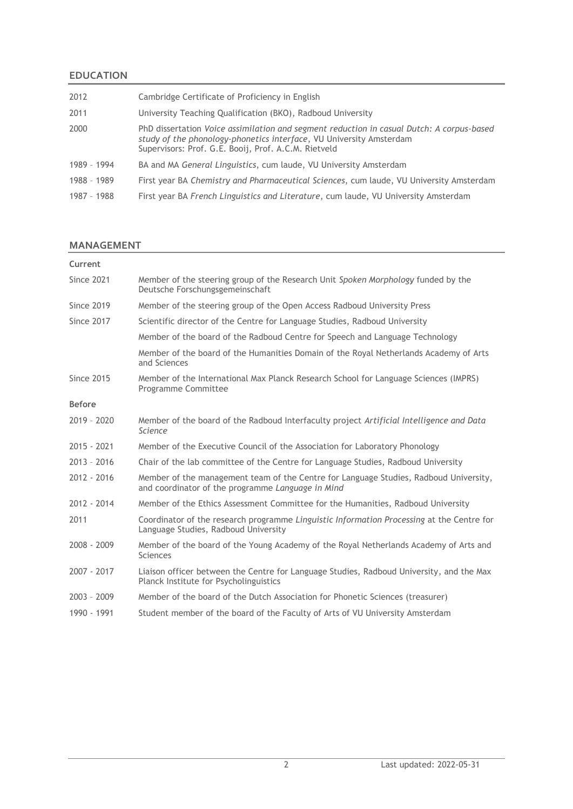### **EDUCATION**

| Cambridge Certificate of Proficiency in English                                                                                                                                                                          |
|--------------------------------------------------------------------------------------------------------------------------------------------------------------------------------------------------------------------------|
| University Teaching Qualification (BKO), Radboud University                                                                                                                                                              |
| PhD dissertation Voice assimilation and segment reduction in casual Dutch: A corpus-based<br>study of the phonology-phonetics interface, VU University Amsterdam<br>Supervisors: Prof. G.E. Booij, Prof. A.C.M. Rietveld |
| BA and MA General Linguistics, cum laude, VU University Amsterdam                                                                                                                                                        |
| First year BA Chemistry and Pharmaceutical Sciences, cum laude, VU University Amsterdam                                                                                                                                  |
| First year BA French Linguistics and Literature, cum laude, VU University Amsterdam                                                                                                                                      |
|                                                                                                                                                                                                                          |

#### **MANAGEMENT**

| Current           |                                                                                                                                            |
|-------------------|--------------------------------------------------------------------------------------------------------------------------------------------|
| <b>Since 2021</b> | Member of the steering group of the Research Unit Spoken Morphology funded by the<br>Deutsche Forschungsgemeinschaft                       |
| <b>Since 2019</b> | Member of the steering group of the Open Access Radboud University Press                                                                   |
| <b>Since 2017</b> | Scientific director of the Centre for Language Studies, Radboud University                                                                 |
|                   | Member of the board of the Radboud Centre for Speech and Language Technology                                                               |
|                   | Member of the board of the Humanities Domain of the Royal Netherlands Academy of Arts<br>and Sciences                                      |
| <b>Since 2015</b> | Member of the International Max Planck Research School for Language Sciences (IMPRS)<br>Programme Committee                                |
| <b>Before</b>     |                                                                                                                                            |
| $2019 - 2020$     | Member of the board of the Radboud Interfaculty project Artificial Intelligence and Data<br>Science                                        |
| 2015 - 2021       | Member of the Executive Council of the Association for Laboratory Phonology                                                                |
| $2013 - 2016$     | Chair of the lab committee of the Centre for Language Studies, Radboud University                                                          |
| $2012 - 2016$     | Member of the management team of the Centre for Language Studies, Radboud University,<br>and coordinator of the programme Language in Mind |
| 2012 - 2014       | Member of the Ethics Assessment Committee for the Humanities, Radboud University                                                           |
| 2011              | Coordinator of the research programme Linguistic Information Processing at the Centre for<br>Language Studies, Radboud University          |
| 2008 - 2009       | Member of the board of the Young Academy of the Royal Netherlands Academy of Arts and<br><b>Sciences</b>                                   |
| 2007 - 2017       | Liaison officer between the Centre for Language Studies, Radboud University, and the Max<br>Planck Institute for Psycholinguistics         |
| $2003 - 2009$     | Member of the board of the Dutch Association for Phonetic Sciences (treasurer)                                                             |
| 1990 - 1991       | Student member of the board of the Faculty of Arts of VU University Amsterdam                                                              |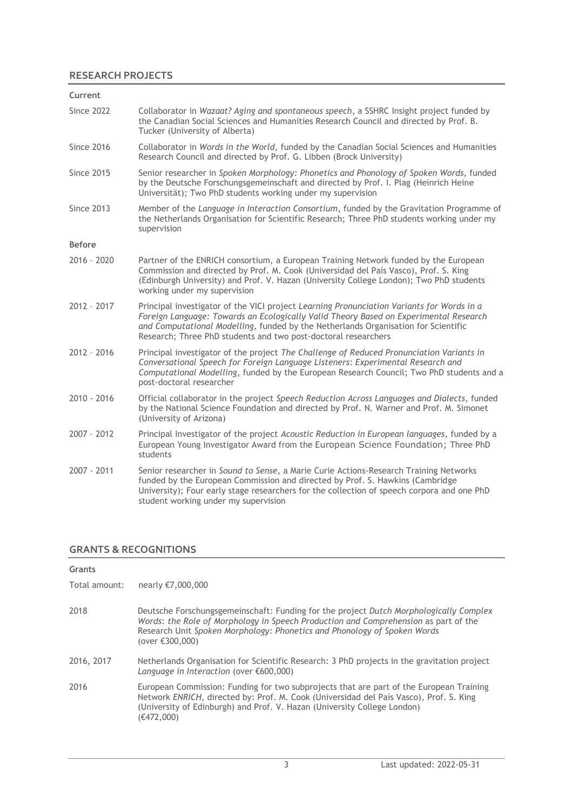### **RESEARCH PROJECTS**

| Current           |                                                                                                                                                                                                                                                                                                                                            |
|-------------------|--------------------------------------------------------------------------------------------------------------------------------------------------------------------------------------------------------------------------------------------------------------------------------------------------------------------------------------------|
| <b>Since 2022</b> | Collaborator in Wazaat? Aging and spontaneous speech, a SSHRC Insight project funded by<br>the Canadian Social Sciences and Humanities Research Council and directed by Prof. B.<br>Tucker (University of Alberta)                                                                                                                         |
| <b>Since 2016</b> | Collaborator in Words in the World, funded by the Canadian Social Sciences and Humanities<br>Research Council and directed by Prof. G. Libben (Brock University)                                                                                                                                                                           |
| <b>Since 2015</b> | Senior researcher in Spoken Morphology: Phonetics and Phonology of Spoken Words, funded<br>by the Deutsche Forschungsgemeinschaft and directed by Prof. I. Plag (Heinrich Heine<br>Universität); Two PhD students working under my supervision                                                                                             |
| <b>Since 2013</b> | Member of the Language in Interaction Consortium, funded by the Gravitation Programme of<br>the Netherlands Organisation for Scientific Research; Three PhD students working under my<br>supervision                                                                                                                                       |
| <b>Before</b>     |                                                                                                                                                                                                                                                                                                                                            |
| 2016 - 2020       | Partner of the ENRICH consortium, a European Training Network funded by the European<br>Commission and directed by Prof. M. Cook (Universidad del País Vasco), Prof. S. King<br>(Edinburgh University) and Prof. V. Hazan (University College London); Two PhD students<br>working under my supervision                                    |
| 2012 - 2017       | Principal investigator of the VICI project Learning Pronunciation Variants for Words in a<br>Foreign Language: Towards an Ecologically Valid Theory Based on Experimental Research<br>and Computational Modelling, funded by the Netherlands Organisation for Scientific<br>Research; Three PhD students and two post-doctoral researchers |
| 2012 - 2016       | Principal investigator of the project The Challenge of Reduced Pronunciation Variants in<br>Conversational Speech for Foreign Language Listeners: Experimental Research and<br>Computational Modelling, funded by the European Research Council; Two PhD students and a<br>post-doctoral researcher                                        |
| 2010 - 2016       | Official collaborator in the project Speech Reduction Across Languages and Dialects, funded<br>by the National Science Foundation and directed by Prof. N. Warner and Prof. M. Simonet<br>(University of Arizona)                                                                                                                          |
| 2007 - 2012       | Principal Investigator of the project Acoustic Reduction in European languages, funded by a<br>European Young Investigator Award from the European Science Foundation; Three PhD<br>students                                                                                                                                               |
| 2007 - 2011       | Senior researcher in Sound to Sense, a Marie Curie Actions-Research Training Networks<br>funded by the European Commission and directed by Prof. S. Hawkins (Cambridge)<br>University); Four early stage researchers for the collection of speech corpora and one PhD<br>student working under my supervision                              |
|                   |                                                                                                                                                                                                                                                                                                                                            |

### **GRANTS & RECOGNITIONS**

| Grants        |                                                                                                                                                                                                                                                                              |
|---------------|------------------------------------------------------------------------------------------------------------------------------------------------------------------------------------------------------------------------------------------------------------------------------|
| Total amount: | nearly €7,000,000                                                                                                                                                                                                                                                            |
| 2018          | Deutsche Forschungsgemeinschaft: Funding for the project Dutch Morphologically Complex<br>Words: the Role of Morphology in Speech Production and Comprehension as part of the<br>Research Unit Spoken Morphology: Phonetics and Phonology of Spoken Words<br>(over €300,000) |
| 2016, 2017    | Netherlands Organisation for Scientific Research: 3 PhD projects in the gravitation project<br>Language in Interaction (over $\epsilon$ 600,000)                                                                                                                             |
| 2016          | European Commission: Funding for two subprojects that are part of the European Training<br>Network ENRICH, directed by: Prof. M. Cook (Universidad del País Vasco), Prof. S. King<br>(University of Edinburgh) and Prof. V. Hazan (University College London)<br>(€472,000)  |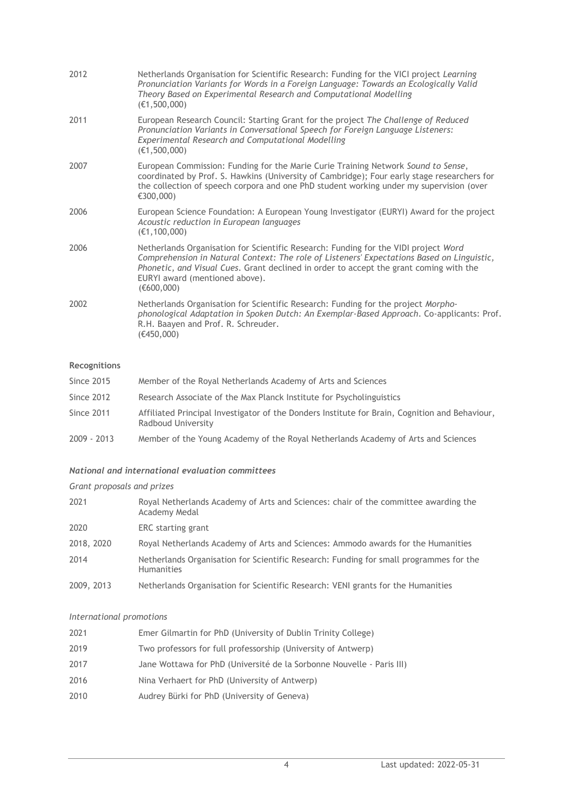| 2012 | Netherlands Organisation for Scientific Research: Funding for the VICI project Learning<br>Pronunciation Variants for Words in a Foreign Language: Towards an Ecologically Valid<br>Theory Based on Experimental Research and Computational Modelling<br>(E1, 500, 000)                                                     |
|------|-----------------------------------------------------------------------------------------------------------------------------------------------------------------------------------------------------------------------------------------------------------------------------------------------------------------------------|
| 2011 | European Research Council: Starting Grant for the project The Challenge of Reduced<br>Pronunciation Variants in Conversational Speech for Foreign Language Listeners:<br>Experimental Research and Computational Modelling<br>(E1, 500, 000)                                                                                |
| 2007 | European Commission: Funding for the Marie Curie Training Network Sound to Sense,<br>coordinated by Prof. S. Hawkins (University of Cambridge); Four early stage researchers for<br>the collection of speech corpora and one PhD student working under my supervision (over<br>€300,000)                                    |
| 2006 | European Science Foundation: A European Young Investigator (EURYI) Award for the project<br>Acoustic reduction in European languages<br>(E1, 100, 000)                                                                                                                                                                      |
| 2006 | Netherlands Organisation for Scientific Research: Funding for the VIDI project Word<br>Comprehension in Natural Context: The role of Listeners' Expectations Based on Linguistic,<br>Phonetic, and Visual Cues. Grant declined in order to accept the grant coming with the<br>EURYI award (mentioned above).<br>(€600,000) |
| 2002 | Netherlands Organisation for Scientific Research: Funding for the project Morpho-<br>phonological Adaptation in Spoken Dutch: An Exemplar-Based Approach. Co-applicants: Prof.<br>R.H. Baayen and Prof. R. Schreuder.<br>(€450,000)                                                                                         |

### **Recognitions**

| Since 2015  | Member of the Royal Netherlands Academy of Arts and Sciences                                                         |
|-------------|----------------------------------------------------------------------------------------------------------------------|
| Since 2012  | Research Associate of the Max Planck Institute for Psycholinguistics                                                 |
| Since 2011  | Affiliated Principal Investigator of the Donders Institute for Brain, Cognition and Behaviour,<br>Radboud University |
| 2009 - 2013 | Member of the Young Academy of the Royal Netherlands Academy of Arts and Sciences                                    |

## *National and international evaluation committees*

# *Grant proposals and prizes*

| 2021       | Royal Netherlands Academy of Arts and Sciences: chair of the committee awarding the<br>Academy Medal        |
|------------|-------------------------------------------------------------------------------------------------------------|
| 2020       | ERC starting grant                                                                                          |
| 2018, 2020 | Royal Netherlands Academy of Arts and Sciences: Ammodo awards for the Humanities                            |
| 2014       | Netherlands Organisation for Scientific Research: Funding for small programmes for the<br><b>Humanities</b> |
| 2009, 2013 | Netherlands Organisation for Scientific Research: VENI grants for the Humanities                            |

### *International promotions*

| 2021 | Emer Gilmartin for PhD (University of Dublin Trinity College)         |
|------|-----------------------------------------------------------------------|
| 2019 | Two professors for full professorship (University of Antwerp)         |
| 2017 | Jane Wottawa for PhD (Université de la Sorbonne Nouvelle - Paris III) |
| 2016 | Nina Verhaert for PhD (University of Antwerp)                         |
| 2010 | Audrey Bürki for PhD (University of Geneva)                           |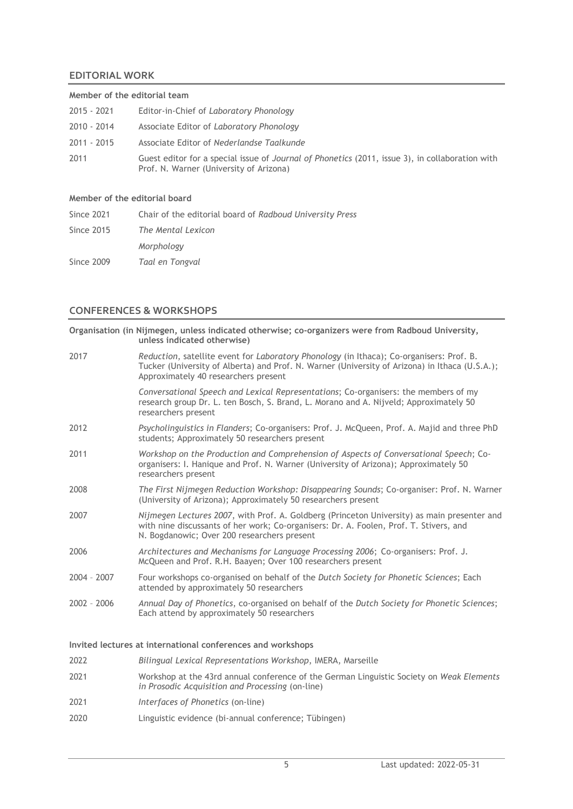### **EDITORIAL WORK**

| Member of the editorial team |                                                                                                                                            |  |
|------------------------------|--------------------------------------------------------------------------------------------------------------------------------------------|--|
| 2015 - 2021                  | Editor-in-Chief of Laboratory Phonology                                                                                                    |  |
| 2010 - 2014                  | Associate Editor of Laboratory Phonology                                                                                                   |  |
| 2011 - 2015                  | Associate Editor of Nederlandse Taalkunde                                                                                                  |  |
| 2011                         | Guest editor for a special issue of Journal of Phonetics (2011, issue 3), in collaboration with<br>Prof. N. Warner (University of Arizona) |  |
|                              |                                                                                                                                            |  |

#### **Member of the editorial board**

| Since 2021 | Chair of the editorial board of Radboud University Press |
|------------|----------------------------------------------------------|
| Since 2015 | The Mental Lexicon                                       |
|            | Morphology                                               |
| Since 2009 | Taal en Tongval                                          |

### **CONFERENCES & WORKSHOPS**

|               | Organisation (in Nijmegen, unless indicated otherwise; co-organizers were from Radboud University,<br>unless indicated otherwise)                                                                                                    |
|---------------|--------------------------------------------------------------------------------------------------------------------------------------------------------------------------------------------------------------------------------------|
| 2017          | Reduction, satellite event for Laboratory Phonology (in Ithaca); Co-organisers: Prof. B.<br>Tucker (University of Alberta) and Prof. N. Warner (University of Arizona) in Ithaca (U.S.A.);<br>Approximately 40 researchers present   |
|               | Conversational Speech and Lexical Representations; Co-organisers: the members of my<br>research group Dr. L. ten Bosch, S. Brand, L. Morano and A. Nijveld; Approximately 50<br>researchers present                                  |
| 2012          | Psycholinguistics in Flanders; Co-organisers: Prof. J. McQueen, Prof. A. Majid and three PhD<br>students; Approximately 50 researchers present                                                                                       |
| 2011          | Workshop on the Production and Comprehension of Aspects of Conversational Speech; Co-<br>organisers: I. Hanique and Prof. N. Warner (University of Arizona); Approximately 50<br>researchers present                                 |
| 2008          | The First Nijmegen Reduction Workshop: Disappearing Sounds; Co-organiser: Prof. N. Warner<br>(University of Arizona); Approximately 50 researchers present                                                                           |
| 2007          | Nijmegen Lectures 2007, with Prof. A. Goldberg (Princeton University) as main presenter and<br>with nine discussants of her work; Co-organisers: Dr. A. Foolen, Prof. T. Stivers, and<br>N. Bogdanowic; Over 200 researchers present |
| 2006          | Architectures and Mechanisms for Language Processing 2006; Co-organisers: Prof. J.<br>McQueen and Prof. R.H. Baayen; Over 100 researchers present                                                                                    |
| $2004 - 2007$ | Four workshops co-organised on behalf of the Dutch Society for Phonetic Sciences; Each<br>attended by approximately 50 researchers                                                                                                   |
| $2002 - 2006$ | Annual Day of Phonetics, co-organised on behalf of the Dutch Society for Phonetic Sciences;<br>Each attend by approximately 50 researchers                                                                                           |
|               | Invited lectures at international conferences and workshops                                                                                                                                                                          |
| 2022          | Bilingual Lexical Representations Workshop, IMERA, Marseille                                                                                                                                                                         |
| 2021          | Workshap at the 13rd annual conference of the German Linguistic Society on Weak Flaments                                                                                                                                             |

- 2021 Workshop at the 43rd annual conference of the German Linguistic Society on *Weak Elements in Prosodic Acquisition and Processing* (on-line)
- 2021 *Interfaces of Phonetics* (on-line)
- 2020 Linguistic evidence (bi-annual conference; Tübingen)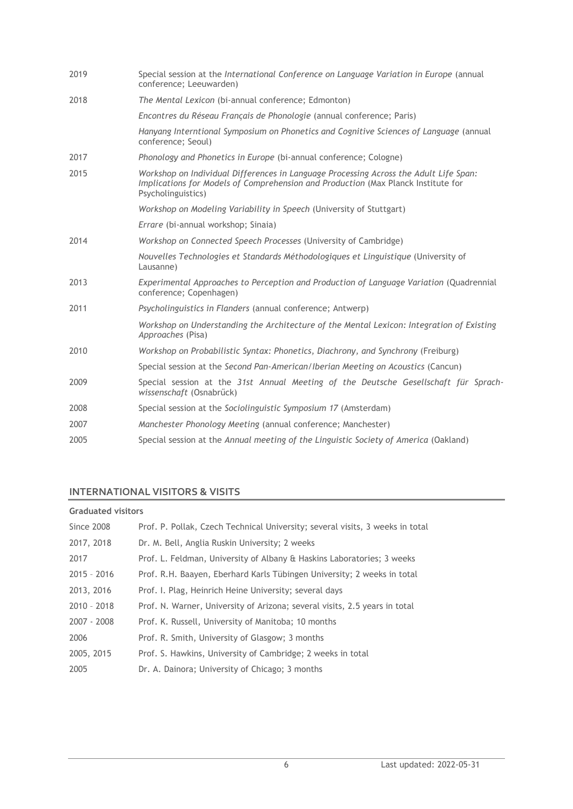| 2019 | Special session at the International Conference on Language Variation in Europe (annual<br>conference; Leeuwarden)                                                                               |
|------|--------------------------------------------------------------------------------------------------------------------------------------------------------------------------------------------------|
| 2018 | The Mental Lexicon (bi-annual conference; Edmonton)                                                                                                                                              |
|      | Encontres du Réseau Français de Phonologie (annual conference; Paris)                                                                                                                            |
|      | Hanyang Interntional Symposium on Phonetics and Cognitive Sciences of Language (annual<br>conference; Seoul)                                                                                     |
| 2017 | Phonology and Phonetics in Europe (bi-annual conference; Cologne)                                                                                                                                |
| 2015 | Workshop on Individual Differences in Language Processing Across the Adult Life Span:<br>Implications for Models of Comprehension and Production (Max Planck Institute for<br>Psycholinguistics) |
|      | Workshop on Modeling Variability in Speech (University of Stuttgart)                                                                                                                             |
|      | Errare (bi-annual workshop; Sinaia)                                                                                                                                                              |
| 2014 | Workshop on Connected Speech Processes (University of Cambridge)                                                                                                                                 |
|      | Nouvelles Technologies et Standards Méthodologiques et Linguistique (University of<br>Lausanne)                                                                                                  |
| 2013 | Experimental Approaches to Perception and Production of Language Variation (Quadrennial<br>conference; Copenhagen)                                                                               |
| 2011 | Psycholinguistics in Flanders (annual conference; Antwerp)                                                                                                                                       |
|      | Workshop on Understanding the Architecture of the Mental Lexicon: Integration of Existing<br>Approaches (Pisa)                                                                                   |
| 2010 | Workshop on Probabilistic Syntax: Phonetics, Diachrony, and Synchrony (Freiburg)                                                                                                                 |
|      | Special session at the Second Pan-American/Iberian Meeting on Acoustics (Cancun)                                                                                                                 |
| 2009 | Special session at the 31st Annual Meeting of the Deutsche Gesellschaft für Sprach-<br>wissenschaft (Osnabrück)                                                                                  |
| 2008 | Special session at the Sociolinguistic Symposium 17 (Amsterdam)                                                                                                                                  |
| 2007 | Manchester Phonology Meeting (annual conference; Manchester)                                                                                                                                     |
| 2005 | Special session at the Annual meeting of the Linguistic Society of America (Oakland)                                                                                                             |
|      |                                                                                                                                                                                                  |

# **INTERNATIONAL VISITORS & VISITS**

### **Graduated visitors**

| <b>Since 2008</b> | Prof. P. Pollak, Czech Technical University; several visits, 3 weeks in total |
|-------------------|-------------------------------------------------------------------------------|
| 2017, 2018        | Dr. M. Bell, Anglia Ruskin University; 2 weeks                                |
| 2017              | Prof. L. Feldman, University of Albany & Haskins Laboratories; 3 weeks        |
| $2015 - 2016$     | Prof. R.H. Baayen, Eberhard Karls Tübingen University; 2 weeks in total       |
| 2013, 2016        | Prof. I. Plag, Heinrich Heine University; several days                        |
| $2010 - 2018$     | Prof. N. Warner, University of Arizona; several visits, 2.5 years in total    |
| 2007 - 2008       | Prof. K. Russell, University of Manitoba; 10 months                           |
| 2006              | Prof. R. Smith, University of Glasgow; 3 months                               |
| 2005, 2015        | Prof. S. Hawkins, University of Cambridge; 2 weeks in total                   |
| 2005              | Dr. A. Dainora; University of Chicago; 3 months                               |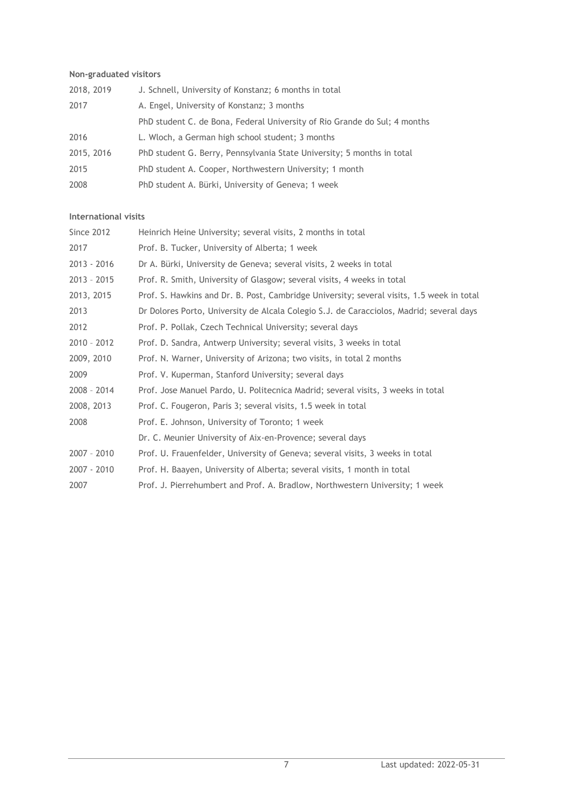### **Non-graduated visitors**

| 2018, 2019 | J. Schnell, University of Konstanz; 6 months in total                     |
|------------|---------------------------------------------------------------------------|
| 2017       | A. Engel, University of Konstanz; 3 months                                |
|            | PhD student C. de Bona, Federal University of Rio Grande do Sul; 4 months |
| 2016       | L. Wloch, a German high school student; 3 months                          |
| 2015, 2016 | PhD student G. Berry, Pennsylvania State University; 5 months in total    |
| 2015       | PhD student A. Cooper, Northwestern University; 1 month                   |
| 2008       | PhD student A. Bürki, University of Geneva; 1 week                        |

### **International visits**

| <b>Since 2012</b> | Heinrich Heine University; several visits, 2 months in total                              |
|-------------------|-------------------------------------------------------------------------------------------|
| 2017              | Prof. B. Tucker, University of Alberta; 1 week                                            |
| 2013 - 2016       | Dr A. Bürki, University de Geneva; several visits, 2 weeks in total                       |
| $2013 - 2015$     | Prof. R. Smith, University of Glasgow; several visits, 4 weeks in total                   |
| 2013, 2015        | Prof. S. Hawkins and Dr. B. Post, Cambridge University; several visits, 1.5 week in total |
| 2013              | Dr Dolores Porto, University de Alcala Colegio S.J. de Caracciolos, Madrid; several days  |
| 2012              | Prof. P. Pollak, Czech Technical University; several days                                 |
| $2010 - 2012$     | Prof. D. Sandra, Antwerp University; several visits, 3 weeks in total                     |
| 2009, 2010        | Prof. N. Warner, University of Arizona; two visits, in total 2 months                     |
| 2009              | Prof. V. Kuperman, Stanford University; several days                                      |
| 2008 - 2014       | Prof. Jose Manuel Pardo, U. Politecnica Madrid; several visits, 3 weeks in total          |
| 2008, 2013        | Prof. C. Fougeron, Paris 3; several visits, 1.5 week in total                             |
| 2008              | Prof. E. Johnson, University of Toronto; 1 week                                           |
|                   | Dr. C. Meunier University of Aix-en-Provence; several days                                |
| $2007 - 2010$     | Prof. U. Frauenfelder, University of Geneva; several visits, 3 weeks in total             |
| 2007 - 2010       | Prof. H. Baayen, University of Alberta; several visits, 1 month in total                  |
| 2007              | Prof. J. Pierrehumbert and Prof. A. Bradlow, Northwestern University; 1 week              |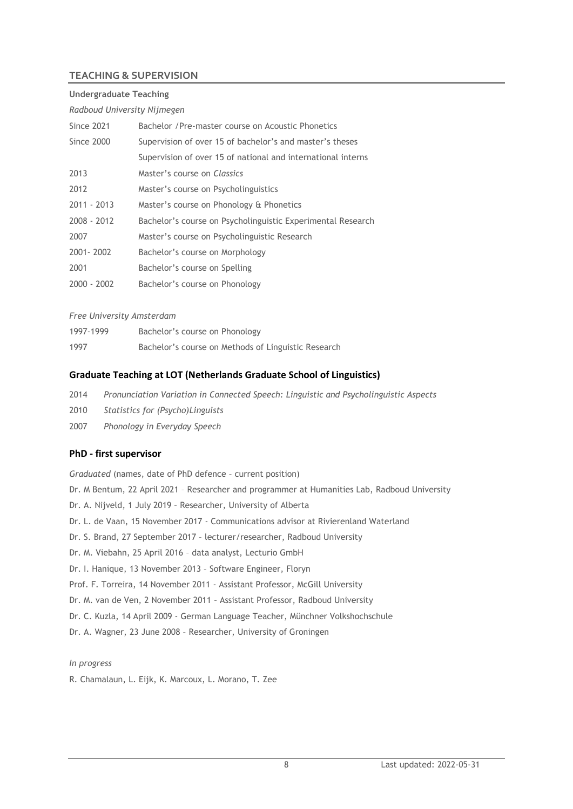### **TEACHING & SUPERVISION**

#### **Undergraduate Teaching**

#### *Radboud University Nijmegen*

| <b>Since 2021</b> | Bachelor / Pre-master course on Acoustic Phonetics           |
|-------------------|--------------------------------------------------------------|
| Since 2000        | Supervision of over 15 of bachelor's and master's theses     |
|                   | Supervision of over 15 of national and international interns |
| 2013              | Master's course on Classics                                  |
| 2012              | Master's course on Psycholinguistics                         |
| $2011 - 2013$     | Master's course on Phonology & Phonetics                     |
| 2008 - 2012       | Bachelor's course on Psycholinguistic Experimental Research  |
| 2007              | Master's course on Psycholinguistic Research                 |
| 2001 - 2002       | Bachelor's course on Morphology                              |
| 2001              | Bachelor's course on Spelling                                |
| $2000 - 2002$     | Bachelor's course on Phonology                               |

#### *Free University Amsterdam*

| 1997-1999 | Bachelor's course on Phonology                      |
|-----------|-----------------------------------------------------|
| 1997      | Bachelor's course on Methods of Linguistic Research |

### **Graduate Teaching at LOT (Netherlands Graduate School of Linguistics)**

- 2014 *Pronunciation Variation in Connected Speech: Linguistic and Psycholinguistic Aspects*
- 2010 *Statistics for (Psycho)Linguists*
- 2007 *Phonology in Everyday Speech*

#### **PhD - first supervisor**

*Graduated* (names, date of PhD defence – current position) Dr. M Bentum, 22 April 2021 – Researcher and programmer at Humanities Lab, Radboud University Dr. A. Nijveld, 1 July 2019 – Researcher, University of Alberta Dr. L. de Vaan, 15 November 2017 - Communications advisor at Rivierenland Waterland Dr. S. Brand, 27 September 2017 – lecturer/researcher, Radboud University Dr. M. Viebahn, 25 April 2016 – data analyst, Lecturio GmbH Dr. I. Hanique, 13 November 2013 – Software Engineer, Floryn Prof. F. Torreira, 14 November 2011 - Assistant Professor, McGill University Dr. M. van de Ven, 2 November 2011 – Assistant Professor, Radboud University Dr. C. Kuzla, 14 April 2009 - German Language Teacher, Münchner Volkshochschule Dr. A. Wagner, 23 June 2008 – Researcher, University of Groningen

#### *In progress*

R. Chamalaun, L. Eijk, K. Marcoux, L. Morano, T. Zee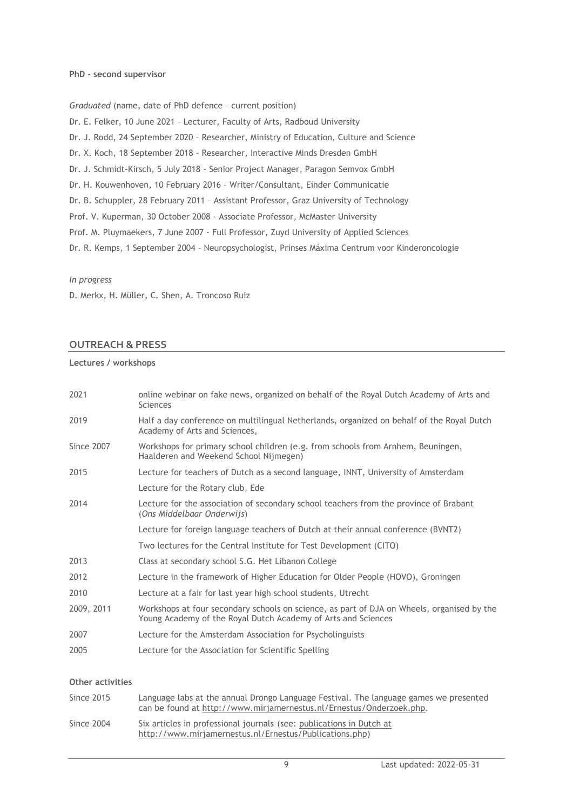#### **PhD - second supervisor**

*Graduated* (name, date of PhD defence – current position)

Dr. E. Felker, 10 June 2021 – Lecturer, Faculty of Arts, Radboud University Dr. J. Rodd, 24 September 2020 – Researcher, Ministry of Education, Culture and Science

Dr. X. Koch, 18 September 2018 – Researcher, Interactive Minds Dresden GmbH

Dr. J. Schmidt-Kirsch, 5 July 2018 – Senior Project Manager, Paragon Semvox GmbH

Dr. H. Kouwenhoven, 10 February 2016 – Writer/Consultant, Einder Communicatie

Dr. B. Schuppler, 28 February 2011 – Assistant Professor, Graz University of Technology

Prof. V. Kuperman, 30 October 2008 - Associate Professor, McMaster University

Prof. M. Pluymaekers, 7 June 2007 - Full Professor, Zuyd University of Applied Sciences

Dr. R. Kemps, 1 September 2004 – Neuropsychologist, Prinses Máxima Centrum voor Kinderoncologie

#### *In progress*

D. Merkx, H. Müller, C. Shen, A. Troncoso Ruiz

#### **OUTREACH & PRESS**

#### **Lectures / workshops**

| 2021       | online webinar on fake news, organized on behalf of the Royal Dutch Academy of Arts and<br><b>Sciences</b>                                                  |
|------------|-------------------------------------------------------------------------------------------------------------------------------------------------------------|
| 2019       | Half a day conference on multilingual Netherlands, organized on behalf of the Royal Dutch<br>Academy of Arts and Sciences,                                  |
| Since 2007 | Workshops for primary school children (e.g. from schools from Arnhem, Beuningen,<br>Haalderen and Weekend School Nijmegen)                                  |
| 2015       | Lecture for teachers of Dutch as a second language, INNT, University of Amsterdam                                                                           |
|            | Lecture for the Rotary club, Ede                                                                                                                            |
| 2014       | Lecture for the association of secondary school teachers from the province of Brabant<br>(Ons Middelbaar Onderwijs)                                         |
|            | Lecture for foreign language teachers of Dutch at their annual conference (BVNT2)                                                                           |
|            | Two lectures for the Central Institute for Test Development (CITO)                                                                                          |
| 2013       | Class at secondary school S.G. Het Libanon College                                                                                                          |
| 2012       | Lecture in the framework of Higher Education for Older People (HOVO), Groningen                                                                             |
| 2010       | Lecture at a fair for last year high school students, Utrecht                                                                                               |
| 2009, 2011 | Workshops at four secondary schools on science, as part of DJA on Wheels, organised by the<br>Young Academy of the Royal Dutch Academy of Arts and Sciences |
| 2007       | Lecture for the Amsterdam Association for Psycholinguists                                                                                                   |
| 2005       | Lecture for the Association for Scientific Spelling                                                                                                         |

#### **Other activities**

| Since 2015 | Language labs at the annual Drongo Language Festival. The language games we presented<br>can be found at http://www.mirjamernestus.nl/Ernestus/Onderzoek.php. |
|------------|---------------------------------------------------------------------------------------------------------------------------------------------------------------|
| Since 2004 | Six articles in professional journals (see: publications in Dutch at<br>http://www.mirjamernestus.nl/Ernestus/Publications.php)                               |